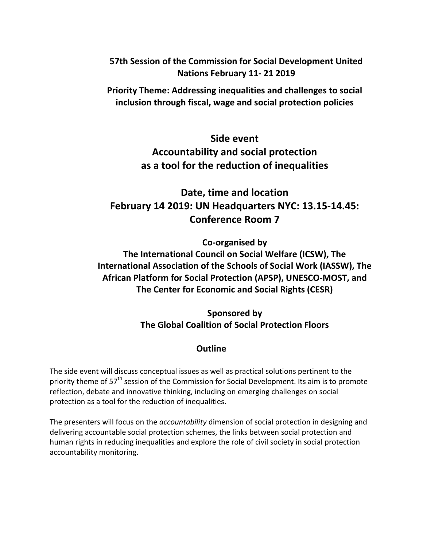**57th Session of the Commission for Social Development United Nations February 11- 21 2019**

**Priority Theme: Addressing inequalities and challenges to social inclusion through fiscal, wage and social protection policies**

# **Side event Accountability and social protection as a tool for the reduction of inequalities**

**Date, time and location February 14 2019: UN Headquarters NYC: 13.15-14.45: Conference Room 7**

**Co-organised by**

**The International Council on Social Welfare (ICSW), The International Association of the Schools of Social Work (IASSW), The African Platform for Social Protection (APSP), UNESCO-MOST, and The Center for Economic and Social Rights (CESR)**

> **Sponsored by The Global Coalition of Social Protection Floors**

## **Outline**

The side event will discuss conceptual issues as well as practical solutions pertinent to the priority theme of 57<sup>th</sup> session of the Commission for Social Development. Its aim is to promote reflection, debate and innovative thinking, including on emerging challenges on social protection as a tool for the reduction of inequalities.

The presenters will focus on the *accountability* dimension of social protection in designing and delivering accountable social protection schemes, the links between social protection and human rights in reducing inequalities and explore the role of civil society in social protection accountability monitoring.